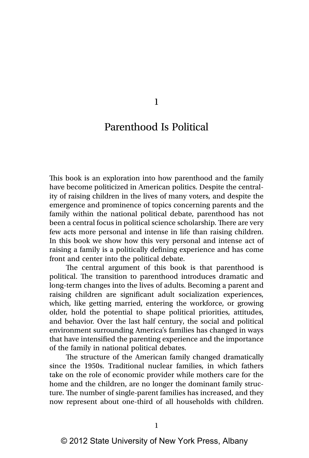1

## Parenthood Is Political

This book is an exploration into how parenthood and the family have become politicized in American politics. Despite the centrality of raising children in the lives of many voters, and despite the emergence and prominence of topics concerning parents and the family within the national political debate, parenthood has not been a central focus in political science scholarship. There are very few acts more personal and intense in life than raising children. In this book we show how this very personal and intense act of raising a family is a politically defining experience and has come front and center into the political debate.

The central argument of this book is that parenthood is political. The transition to parenthood introduces dramatic and long-term changes into the lives of adults. Becoming a parent and raising children are significant adult socialization experiences, which, like getting married, entering the workforce, or growing older, hold the potential to shape political priorities, attitudes, and behavior. Over the last half century, the social and political environment surrounding America's families has changed in ways that have intensified the parenting experience and the importance of the family in national political debates.

The structure of the American family changed dramatically since the 1950s. Traditional nuclear families, in which fathers take on the role of economic provider while mothers care for the home and the children, are no longer the dominant family structure. The number of single-parent families has increased, and they now represent about one-third of all households with children.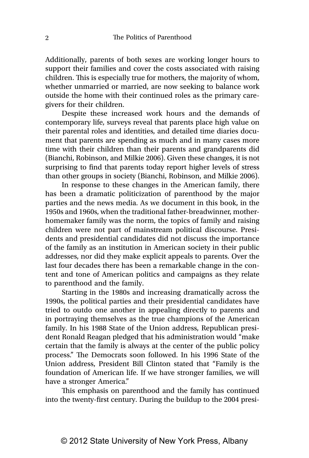Additionally, parents of both sexes are working longer hours to support their families and cover the costs associated with raising children. This is especially true for mothers, the majority of whom, whether unmarried or married, are now seeking to balance work outside the home with their continued roles as the primary caregivers for their children.

Despite these increased work hours and the demands of contemporary life, surveys reveal that parents place high value on their parental roles and identities, and detailed time diaries document that parents are spending as much and in many cases more time with their children than their parents and grandparents did (Bianchi, Robinson, and Milkie 2006). Given these changes, it is not surprising to find that parents today report higher levels of stress than other groups in society (Bianchi, Robinson, and Milkie 2006).

In response to these changes in the American family, there has been a dramatic politicization of parenthood by the major parties and the news media. As we document in this book, in the 1950s and 1960s, when the traditional father-breadwinner, motherhomemaker family was the norm, the topics of family and raising children were not part of mainstream political discourse. Presidents and presidential candidates did not discuss the importance of the family as an institution in American society in their public addresses, nor did they make explicit appeals to parents. Over the last four decades there has been a remarkable change in the content and tone of American politics and campaigns as they relate to parenthood and the family.

Starting in the 1980s and increasing dramatically across the 1990s, the political parties and their presidential candidates have tried to outdo one another in appealing directly to parents and in portraying themselves as the true champions of the American family. In his 1988 State of the Union address, Republican president Ronald Reagan pledged that his administration would "make certain that the family is always at the center of the public policy process." The Democrats soon followed. In his 1996 State of the Union address, President Bill Clinton stated that "Family is the foundation of American life. If we have stronger families, we will have a stronger America."

This emphasis on parenthood and the family has continued into the twenty-first century. During the buildup to the 2004 presi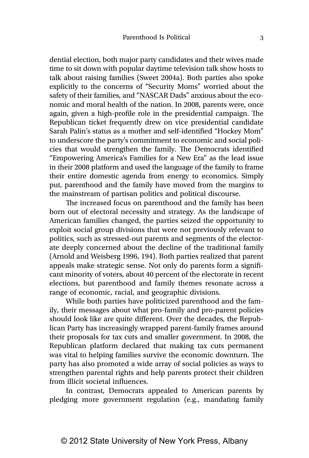dential election, both major party candidates and their wives made time to sit down with popular daytime television talk show hosts to talk about raising families (Sweet 2004a). Both parties also spoke explicitly to the concerns of "Security Moms" worried about the safety of their families, and "NASCAR Dads" anxious about the economic and moral health of the nation. In 2008, parents were, once again, given a high-profile role in the presidential campaign. The Republican ticket frequently drew on vice presidential candidate Sarah Palin's status as a mother and self-identified "Hockey Mom" to underscore the party's commitment to economic and social policies that would strengthen the family. The Democrats identified "Empowering America's Families for a New Era" as the lead issue in their 2008 platform and used the language of the family to frame their entire domestic agenda from energy to economics. Simply put, parenthood and the family have moved from the margins to the mainstream of partisan politics and political discourse.

The increased focus on parenthood and the family has been born out of electoral necessity and strategy. As the landscape of American families changed, the parties seized the opportunity to exploit social group divisions that were not previously relevant to politics, such as stressed-out parents and segments of the electorate deeply concerned about the decline of the traditional family (Arnold and Weisberg 1996, 194). Both parties realized that parent appeals make strategic sense. Not only do parents form a significant minority of voters, about 40 percent of the electorate in recent elections, but parenthood and family themes resonate across a range of economic, racial, and geographic divisions.

While both parties have politicized parenthood and the family, their messages about what pro-family and pro-parent policies should look like are quite different. Over the decades, the Republican Party has increasingly wrapped parent-family frames around their proposals for tax cuts and smaller government. In 2008, the Republican platform declared that making tax cuts permanent was vital to helping families survive the economic downturn. The party has also promoted a wide array of social policies as ways to strengthen parental rights and help parents protect their children from illicit societal influences.

In contrast, Democrats appealed to American parents by pledging more government regulation (e.g., mandating family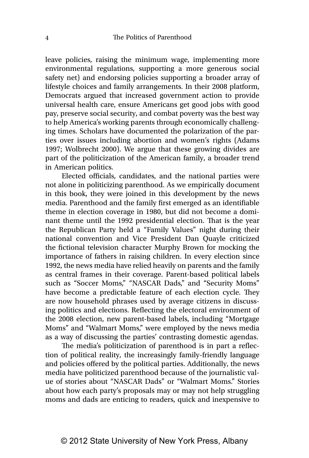leave policies, raising the minimum wage, implementing more environmental regulations, supporting a more generous social safety net) and endorsing policies supporting a broader array of lifestyle choices and family arrangements. In their 2008 platform, Democrats argued that increased government action to provide universal health care, ensure Americans get good jobs with good pay, preserve social security, and combat poverty was the best way to help America's working parents through economically challenging times. Scholars have documented the polarization of the parties over issues including abortion and women's rights (Adams 1997; Wolbrecht 2000). We argue that these growing divides are part of the politicization of the American family, a broader trend in American politics.

Elected officials, candidates, and the national parties were not alone in politicizing parenthood. As we empirically document in this book, they were joined in this development by the news media. Parenthood and the family first emerged as an identifiable theme in election coverage in 1980, but did not become a dominant theme until the 1992 presidential election. That is the year the Republican Party held a "Family Values" night during their national convention and Vice President Dan Quayle criticized the fictional television character Murphy Brown for mocking the importance of fathers in raising children. In every election since 1992, the news media have relied heavily on parents and the family as central frames in their coverage. Parent-based political labels such as "Soccer Moms," "NASCAR Dads," and "Security Moms" have become a predictable feature of each election cycle. They are now household phrases used by average citizens in discussing politics and elections. Reflecting the electoral environment of the 2008 election, new parent-based labels, including "Mortgage Moms" and "Walmart Moms," were employed by the news media as a way of discussing the parties' contrasting domestic agendas.

The media's politicization of parenthood is in part a reflection of political reality, the increasingly family-friendly language and policies offered by the political parties. Additionally, the news media have politicized parenthood because of the journalistic value of stories about "NASCAR Dads" or "Walmart Moms." Stories about how each party's proposals may or may not help struggling moms and dads are enticing to readers, quick and inexpensive to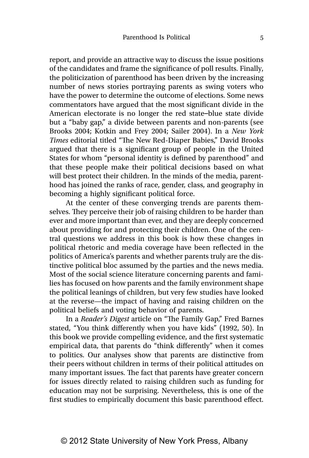report, and provide an attractive way to discuss the issue positions of the candidates and frame the significance of poll results. Finally, the politicization of parenthood has been driven by the increasing number of news stories portraying parents as swing voters who have the power to determine the outcome of elections. Some news commentators have argued that the most significant divide in the American electorate is no longer the red state–blue state divide but a "baby gap," a divide between parents and non-parents (see Brooks 2004; Kotkin and Frey 2004; Sailer 2004). In a *New York Times* editorial titled "The New Red-Diaper Babies," David Brooks argued that there is a significant group of people in the United States for whom "personal identity is defined by parenthood" and that these people make their political decisions based on what will best protect their children. In the minds of the media, parenthood has joined the ranks of race, gender, class, and geography in becoming a highly significant political force.

At the center of these converging trends are parents themselves. They perceive their job of raising children to be harder than ever and more important than ever, and they are deeply concerned about providing for and protecting their children. One of the central questions we address in this book is how these changes in political rhetoric and media coverage have been reflected in the politics of America's parents and whether parents truly are the distinctive political bloc assumed by the parties and the news media. Most of the social science literature concerning parents and families has focused on how parents and the family environment shape the political leanings of children, but very few studies have looked at the reverse—the impact of having and raising children on the political beliefs and voting behavior of parents.

In a *Reader's Digest* article on "The Family Gap," Fred Barnes stated, "You think differently when you have kids" (1992, 50). In this book we provide compelling evidence, and the first systematic empirical data, that parents do "think differently" when it comes to politics. Our analyses show that parents are distinctive from their peers without children in terms of their political attitudes on many important issues. The fact that parents have greater concern for issues directly related to raising children such as funding for education may not be surprising. Nevertheless, this is one of the first studies to empirically document this basic parenthood effect.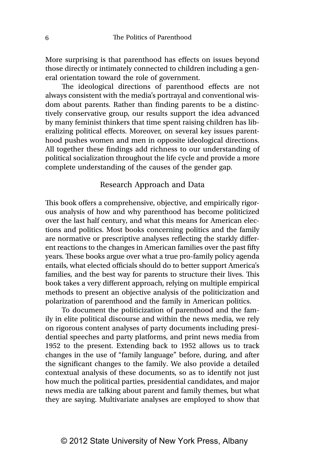More surprising is that parenthood has effects on issues beyond those directly or intimately connected to children including a general orientation toward the role of government.

The ideological directions of parenthood effects are not always consistent with the media's portrayal and conventional wisdom about parents. Rather than finding parents to be a distinctively conservative group, our results support the idea advanced by many feminist thinkers that time spent raising children has liberalizing political effects. Moreover, on several key issues parenthood pushes women and men in opposite ideological directions. All together these findings add richness to our understanding of political socialization throughout the life cycle and provide a more complete understanding of the causes of the gender gap.

## Research Approach and Data

This book offers a comprehensive, objective, and empirically rigorous analysis of how and why parenthood has become politicized over the last half century, and what this means for American elections and politics. Most books concerning politics and the family are normative or prescriptive analyses reflecting the starkly different reactions to the changes in American families over the past fifty years. These books argue over what a true pro-family policy agenda entails, what elected officials should do to better support America's families, and the best way for parents to structure their lives. This book takes a very different approach, relying on multiple empirical methods to present an objective analysis of the politicization and polarization of parenthood and the family in American politics.

To document the politicization of parenthood and the family in elite political discourse and within the news media, we rely on rigorous content analyses of party documents including presidential speeches and party platforms, and print news media from 1952 to the present. Extending back to 1952 allows us to track changes in the use of "family language" before, during, and after the significant changes to the family. We also provide a detailed contextual analysis of these documents, so as to identify not just how much the political parties, presidential candidates, and major news media are talking about parent and family themes, but what they are saying. Multivariate analyses are employed to show that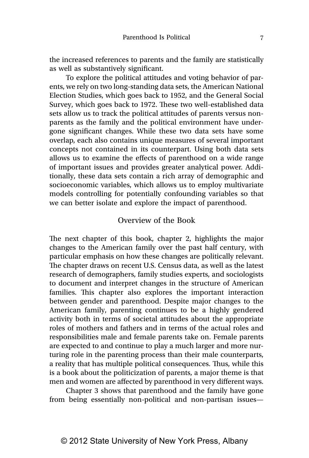the increased references to parents and the family are statistically as well as substantively significant.

To explore the political attitudes and voting behavior of parents, we rely on two long-standing data sets, the American National Election Studies, which goes back to 1952, and the General Social Survey, which goes back to 1972. These two well-established data sets allow us to track the political attitudes of parents versus nonparents as the family and the political environment have undergone significant changes. While these two data sets have some overlap, each also contains unique measures of several important concepts not contained in its counterpart. Using both data sets allows us to examine the effects of parenthood on a wide range of important issues and provides greater analytical power. Additionally, these data sets contain a rich array of demographic and socioeconomic variables, which allows us to employ multivariate models controlling for potentially confounding variables so that we can better isolate and explore the impact of parenthood.

## Overview of the Book

The next chapter of this book, chapter 2, highlights the major changes to the American family over the past half century, with particular emphasis on how these changes are politically relevant. The chapter draws on recent U.S. Census data, as well as the latest research of demographers, family studies experts, and sociologists to document and interpret changes in the structure of American families. This chapter also explores the important interaction between gender and parenthood. Despite major changes to the American family, parenting continues to be a highly gendered activity both in terms of societal attitudes about the appropriate roles of mothers and fathers and in terms of the actual roles and responsibilities male and female parents take on. Female parents are expected to and continue to play a much larger and more nurturing role in the parenting process than their male counterparts, a reality that has multiple political consequences. Thus, while this is a book about the politicization of parents, a major theme is that men and women are affected by parenthood in very different ways.

Chapter 3 shows that parenthood and the family have gone from being essentially non-political and non-partisan issues—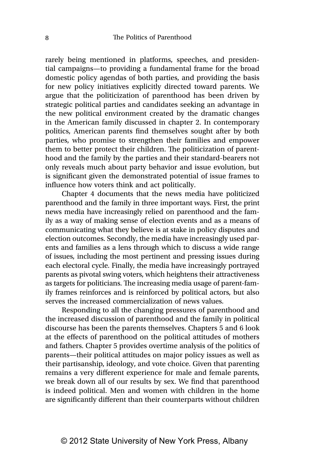rarely being mentioned in platforms, speeches, and presidential campaigns—to providing a fundamental frame for the broad domestic policy agendas of both parties, and providing the basis for new policy initiatives explicitly directed toward parents. We argue that the politicization of parenthood has been driven by strategic political parties and candidates seeking an advantage in the new political environment created by the dramatic changes in the American family discussed in chapter 2. In contemporary politics, American parents find themselves sought after by both parties, who promise to strengthen their families and empower them to better protect their children. The politicization of parenthood and the family by the parties and their standard-bearers not only reveals much about party behavior and issue evolution, but is significant given the demonstrated potential of issue frames to influence how voters think and act politically.

Chapter 4 documents that the news media have politicized parenthood and the family in three important ways. First, the print news media have increasingly relied on parenthood and the family as a way of making sense of election events and as a means of communicating what they believe is at stake in policy disputes and election outcomes. Secondly, the media have increasingly used parents and families as a lens through which to discuss a wide range of issues, including the most pertinent and pressing issues during each electoral cycle. Finally, the media have increasingly portrayed parents as pivotal swing voters, which heightens their attractiveness as targets for politicians. The increasing media usage of parent-family frames reinforces and is reinforced by political actors, but also serves the increased commercialization of news values.

Responding to all the changing pressures of parenthood and the increased discussion of parenthood and the family in political discourse has been the parents themselves. Chapters 5 and 6 look at the effects of parenthood on the political attitudes of mothers and fathers. Chapter 5 provides overtime analysis of the politics of parents—their political attitudes on major policy issues as well as their partisanship, ideology, and vote choice. Given that parenting remains a very different experience for male and female parents, we break down all of our results by sex. We find that parenthood is indeed political. Men and women with children in the home are significantly different than their counterparts without children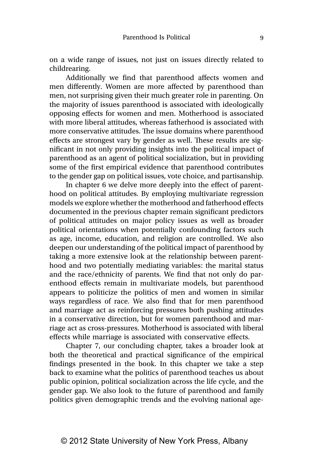on a wide range of issues, not just on issues directly related to childrearing.

Additionally we find that parenthood affects women and men differently. Women are more affected by parenthood than men, not surprising given their much greater role in parenting. On the majority of issues parenthood is associated with ideologically opposing effects for women and men. Motherhood is associated with more liberal attitudes, whereas fatherhood is associated with more conservative attitudes. The issue domains where parenthood effects are strongest vary by gender as well. These results are significant in not only providing insights into the political impact of parenthood as an agent of political socialization, but in providing some of the first empirical evidence that parenthood contributes to the gender gap on political issues, vote choice, and partisanship.

In chapter 6 we delve more deeply into the effect of parenthood on political attitudes. By employing multivariate regression models we explore whether the motherhood and fatherhood effects documented in the previous chapter remain significant predictors of political attitudes on major policy issues as well as broader political orientations when potentially confounding factors such as age, income, education, and religion are controlled. We also deepen our understanding of the political impact of parenthood by taking a more extensive look at the relationship between parenthood and two potentially mediating variables: the marital status and the race/ethnicity of parents. We find that not only do parenthood effects remain in multivariate models, but parenthood appears to politicize the politics of men and women in similar ways regardless of race. We also find that for men parenthood and marriage act as reinforcing pressures both pushing attitudes in a conservative direction, but for women parenthood and marriage act as cross-pressures. Motherhood is associated with liberal effects while marriage is associated with conservative effects.

Chapter 7, our concluding chapter, takes a broader look at both the theoretical and practical significance of the empirical findings presented in the book. In this chapter we take a step back to examine what the politics of parenthood teaches us about public opinion, political socialization across the life cycle, and the gender gap. We also look to the future of parenthood and family politics given demographic trends and the evolving national age